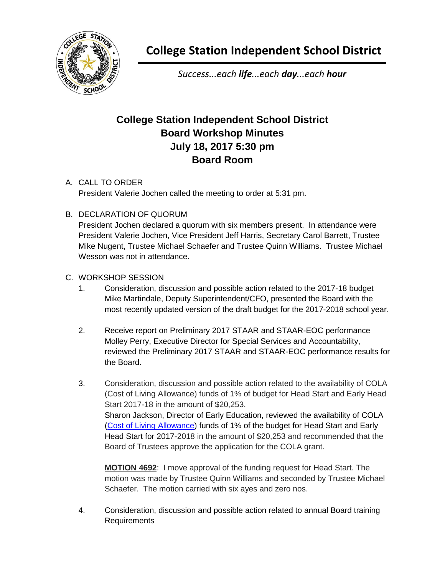

**College Station Independent School District**

*Success...each life...each day...each hour*

## **College Station Independent School District Board Workshop Minutes July 18, 2017 5:30 pm Board Room**

## A. CALL TO ORDER President Valerie Jochen called the meeting to order at 5:31 pm.

## B. DECLARATION OF QUORUM

President Jochen declared a quorum with six members present. In attendance were President Valerie Jochen, Vice President Jeff Harris, Secretary Carol Barrett, Trustee Mike Nugent, Trustee Michael Schaefer and Trustee Quinn Williams. Trustee Michael Wesson was not in attendance.

## C. WORKSHOP SESSION

- 1. Consideration, discussion and possible action related to the 2017-18 budget Mike Martindale, Deputy Superintendent/CFO, presented the Board with the most recently updated version of the draft budget for the 2017-2018 school year.
- 2. Receive report on Preliminary 2017 STAAR and STAAR-EOC performance Molley Perry, Executive Director for Special Services and Accountability, reviewed the Preliminary 2017 STAAR and STAAR-EOC performance results for the Board.
- 3. Consideration, discussion and possible action related to the availability of COLA (Cost of Living Allowance) funds of 1% of budget for Head Start and Early Head Start 2017-18 in the amount of \$20,253. Sharon Jackson, Director of Early Education, reviewed the availability of COLA [\(Cost of Living Allowance\)](http://web.csisd.org/school_board/agendas/2017-2018/August/Sharon-CostOfLivingAllowance-17-18rev.pdf) funds of 1% of the budget for Head Start and Early Head Start for 2017-2018 in the amount of \$20,253 and recommended that the Board of Trustees approve the application for the COLA grant.

**MOTION 4692**: I move approval of the funding request for Head Start. The motion was made by Trustee Quinn Williams and seconded by Trustee Michael Schaefer. The motion carried with six ayes and zero nos.

4. Consideration, discussion and possible action related to annual Board training Requirements